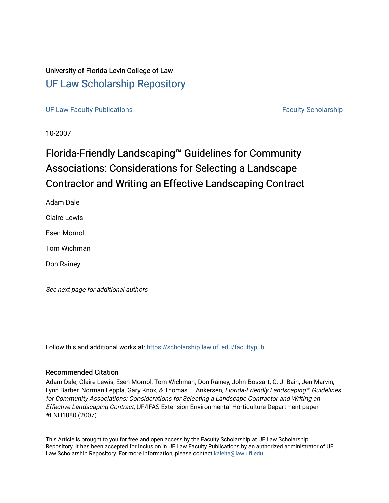### University of Florida Levin College of Law [UF Law Scholarship Repository](https://scholarship.law.ufl.edu/)

[UF Law Faculty Publications](https://scholarship.law.ufl.edu/facultypub) **Faculty Scholarship Faculty Scholarship Faculty Scholarship** 

10-2007

# Florida-Friendly Landscaping™ Guidelines for Community Associations: Considerations for Selecting a Landscape Contractor and Writing an Effective Landscaping Contract

Adam Dale

Claire Lewis

Esen Momol

Tom Wichman

Don Rainey

See next page for additional authors

Follow this and additional works at: [https://scholarship.law.ufl.edu/facultypub](https://scholarship.law.ufl.edu/facultypub?utm_source=scholarship.law.ufl.edu%2Ffacultypub%2F1086&utm_medium=PDF&utm_campaign=PDFCoverPages) 

#### Recommended Citation

Adam Dale, Claire Lewis, Esen Momol, Tom Wichman, Don Rainey, John Bossart, C. J. Bain, Jen Marvin, Lynn Barber, Norman Leppla, Gary Knox, & Thomas T. Ankersen, Florida-Friendly Landscaping™ Guidelines for Community Associations: Considerations for Selecting a Landscape Contractor and Writing an Effective Landscaping Contract, UF/IFAS Extension Environmental Horticulture Department paper #ENH1080 (2007)

This Article is brought to you for free and open access by the Faculty Scholarship at UF Law Scholarship Repository. It has been accepted for inclusion in UF Law Faculty Publications by an authorized administrator of UF Law Scholarship Repository. For more information, please contact [kaleita@law.ufl.edu](mailto:kaleita@law.ufl.edu).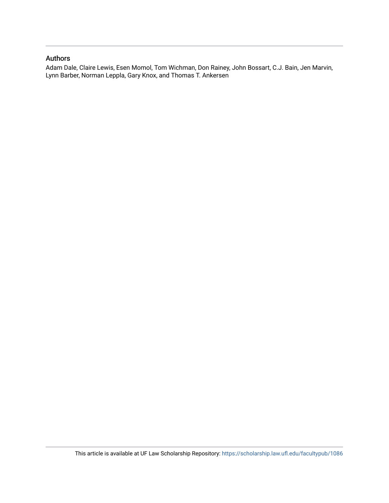#### Authors

Adam Dale, Claire Lewis, Esen Momol, Tom Wichman, Don Rainey, John Bossart, C.J. Bain, Jen Marvin, Lynn Barber, Norman Leppla, Gary Knox, and Thomas T. Ankersen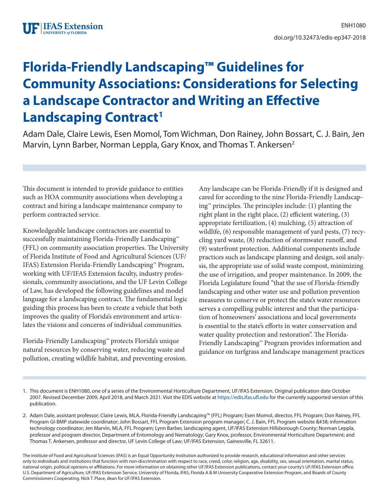# **Florida-Friendly Landscaping™ Guidelines for Community Associations: Considerations for Selecting a Landscape Contractor and Writing an Effective Landscaping Contract<sup>1</sup>**

Adam Dale, Claire Lewis, Esen Momol, Tom Wichman, Don Rainey, John Bossart, C. J. Bain, Jen Marvin, Lynn Barber, Norman Leppla, Gary Knox, and Thomas T. Ankersen<sup>2</sup>

This document is intended to provide guidance to entities such as HOA community associations when developing a contract and hiring a landscape maintenance company to perform contracted service.

Knowledgeable landscape contractors are essential to successfully maintaining Florida-Friendly Landscaping™ (FFL) on community association properties. The University of Florida Institute of Food and Agricultural Sciences (UF/ IFAS) Extension Florida-Friendly Landscaping™ Program, working with UF/IFAS Extension faculty, industry professionals, community associations, and the UF Levin College of Law, has developed the following guidelines and model language for a landscaping contract. The fundamental logic guiding this process has been to create a vehicle that both improves the quality of Florida's environment and articulates the visions and concerns of individual communities.

Florida-Friendly Landscaping™ protects Florida's unique natural resources by conserving water, reducing waste and pollution, creating wildlife habitat, and preventing erosion. Any landscape can be Florida-Friendly if it is designed and cared for according to the nine Florida-Friendly Landscaping<sup>™</sup> principles. The principles include:  $(1)$  planting the right plant in the right place, (2) efficient watering, (3) appropriate fertilization, (4) mulching, (5) attraction of wildlife, (6) responsible management of yard pests, (7) recycling yard waste, (8) reduction of stormwater runoff, and (9) waterfront protection. Additional components include practices such as landscape planning and design, soil analysis, the appropriate use of solid waste compost, minimizing the use of irrigation, and proper maintenance. In 2009, the Florida Legislature found "that the use of Florida-friendly landscaping and other water use and pollution prevention measures to conserve or protect the state's water resources serves a compelling public interest and that the participation of homeowners' associations and local governments is essential to the state's efforts in water conservation and water quality protection and restoration". The Florida-Friendly Landscaping™ Program provides information and guidance on turfgrass and landscape management practices

- 1. This document is ENH1080, one of a series of the Environmental Horticulture Department, UF/IFAS Extension. Original publication date October 2007. Revised December 2009, April 2018, and March 2021. Visit the EDIS website at <https://edis.ifas.ufl.edu>for the currently supported version of this publication.
- 2. Adam Dale, assistant professor; Claire Lewis, MLA, Florida-Friendly Landscaping™ (FFL) Program; Esen Momol, director, FFL Program; Don Rainey, FFL Program GI-BMP statewide coordinator; John Bossart, FFL Program Extension program manager; C. J. Bain, FFL Program website & information technology coordinator; Jen Marvin, MLA, FFL Program; Lynn Barber, landscaping agent, UF/IFAS Extension Hillsborough County; Norman Leppla, professor and program director, Department of Entomology and Nematology; Gary Knox, professor, Environmental Horticulture Department; and Thomas T. Ankersen, professor and director, UF Levin College of Law; UF/IFAS Extension, Gainesville, FL 32611.

The Institute of Food and Agricultural Sciences (IFAS) is an Equal Opportunity Institution authorized to provide research, educational information and other services only to individuals and institutions that function with non-discrimination with respect to race, creed, color, religion, age, disability, sex, sexual orientation, marital status, national origin, political opinions or affiliations. For more information on obtaining other UF/IFAS Extension publications, contact your county's UF/IFAS Extension office. U.S. Department of Agriculture, UF/IFAS Extension Service, University of Florida, IFAS, Florida A & M University Cooperative Extension Program, and Boards of County Commissioners Cooperating. Nick T. Place, dean for UF/IFAS Extension.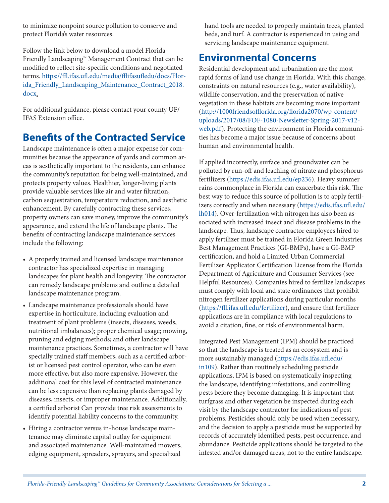to minimize nonpoint source pollution to conserve and protect Florida's water resources.

Follow the link below to download a model Florida-Friendly Landscaping™ Management Contract that can be modified to reflect site-specific conditions and negotiated terms. [https://ffl.ifas.ufl.edu/media/fflifasufledu/docs/Flor](https://ffl.ifas.ufl.edu/media/fflifasufledu/docs/Florida_Friendly_Landscaping_Maintenance_Contract_2018.doc)[ida\\_Friendly\\_Landscaping\\_Maintenance\\_Contract\\_2018.](https://ffl.ifas.ufl.edu/media/fflifasufledu/docs/Florida_Friendly_Landscaping_Maintenance_Contract_2018.doc) [docx](https://ffl.ifas.ufl.edu/media/fflifasufledu/docs/Florida_Friendly_Landscaping_Maintenance_Contract_2018.doc).

For additional guidance, please contact your county UF/ IFAS Extension office.

# **Benefits of the Contracted Service**

Landscape maintenance is often a major expense for communities because the appearance of yards and common areas is aesthetically important to the residents, can enhance the community's reputation for being well-maintained, and protects property values. Healthier, longer-living plants provide valuable services like air and water filtration, carbon sequestration, temperature reduction, and aesthetic enhancement. By carefully contracting these services, property owners can save money, improve the community's appearance, and extend the life of landscape plants. The benefits of contracting landscape maintenance services include the following:

- A properly trained and licensed landscape maintenance contractor has specialized expertise in managing landscapes for plant health and longevity. The contractor can remedy landscape problems and outline a detailed landscape maintenance program.
- Landscape maintenance professionals should have expertise in horticulture, including evaluation and treatment of plant problems (insects, diseases, weeds, nutritional imbalances); proper chemical usage; mowing, pruning and edging methods; and other landscape maintenance practices. Sometimes, a contractor will have specially trained staff members, such as a certified arborist or licensed pest control operator, who can be even more effective, but also more expensive. However, the additional cost for this level of contracted maintenance can be less expensive than replacing plants damaged by diseases, insects, or improper maintenance. Additionally, a certified arborist Can provide tree risk assessments to identify potential liability concerns to the community.
- Hiring a contractor versus in-house landscape maintenance may eliminate capital outlay for equipment and associated maintenance. Well-maintained mowers, edging equipment, spreaders, sprayers, and specialized

hand tools are needed to properly maintain trees, planted beds, and turf. A contractor is experienced in using and servicing landscape maintenance equipment.

# **Environmental Concerns**

Residential development and urbanization are the most rapid forms of land use change in Florida. With this change, constraints on natural resources (e.g., water availability), wildlife conservation, and the preservation of native vegetation in these habitats are becoming more important [\(http://1000friendsofflorida.org/florida2070/wp-content/](http://1000friendsofflorida.org/florida2070/wp-content/uploads/2017/08/FOF-1080-Newsletter-Spring-2017-v12-web.pdf) [uploads/2017/08/FOF-1080-Newsletter-Spring-2017-v12](http://1000friendsofflorida.org/florida2070/wp-content/uploads/2017/08/FOF-1080-Newsletter-Spring-2017-v12-web.pdf) [web.pdf\)](http://1000friendsofflorida.org/florida2070/wp-content/uploads/2017/08/FOF-1080-Newsletter-Spring-2017-v12-web.pdf). Protecting the environment in Florida communities has become a major issue because of concerns about human and environmental health.

If applied incorrectly, surface and groundwater can be polluted by run-off and leaching of nitrate and phosphorus fertilizers [\(https://edis.ifas.ufl.edu/ep236\)](https://edis.ifas.ufl.edu/ep236). Heavy summer rains commonplace in Florida can exacerbate this risk. The best way to reduce this source of pollution is to apply fertilizers correctly and when necessary ([https://edis.ifas.ufl.edu/](https://edis.ifas.ufl.edu/lh014) [lh014\)](https://edis.ifas.ufl.edu/lh014). Over-fertilization with nitrogen has also been associated with increased insect and disease problems in the landscape. Thus, landscape contractor employees hired to apply fertilizer must be trained in Florida Green Industries Best Management Practices (GI-BMPs), have a GI-BMP certification, and hold a Limited Urban Commercial Fertilizer Applicator Certification License from the Florida Department of Agriculture and Consumer Services (see Helpful Resources). Companies hired to fertilize landscapes must comply with local and state ordinances that prohibit nitrogen fertilizer applications during particular months [\(https://ffl.ifas.ufl.edu/fertilizer](https://ffl.ifas.ufl.edu/fertilizer)), and ensure that fertilizer applications are in compliance with local regulations to avoid a citation, fine, or risk of environmental harm.

Integrated Pest Management (IPM) should be practiced so that the landscape is treated as an ecosystem and is more sustainably managed [\(https://edis.ifas.ufl.edu/](https://edis.ifas.ufl.edu/in109) [in109](https://edis.ifas.ufl.edu/in109)). Rather than routinely scheduling pesticide applications, IPM is based on systematically inspecting the landscape, identifying infestations, and controlling pests before they become damaging. It is important that turfgrass and other vegetation be inspected during each visit by the landscape contractor for indications of pest problems. Pesticides should only be used when necessary, and the decision to apply a pesticide must be supported by records of accurately identified pests, pest occurrence, and abundance. Pesticide applications should be targeted to the infested and/or damaged areas, not to the entire landscape.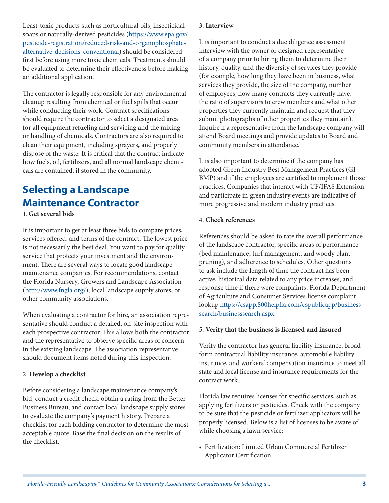Least-toxic products such as horticultural oils, insecticidal soaps or naturally-derived pesticides ([https://www.epa.gov/](https://www.epa.gov/pesticide-registration/reduced-risk-and-organophosphate-alternative-decisions-conventional) [pesticide-registration/reduced-risk-and-organophosphate](https://www.epa.gov/pesticide-registration/reduced-risk-and-organophosphate-alternative-decisions-conventional)[alternative-decisions-conventional](https://www.epa.gov/pesticide-registration/reduced-risk-and-organophosphate-alternative-decisions-conventional)) should be considered first before using more toxic chemicals. Treatments should be evaluated to determine their effectiveness before making an additional application.

The contractor is legally responsible for any environmental cleanup resulting from chemical or fuel spills that occur while conducting their work. Contract specifications should require the contractor to select a designated area for all equipment refueling and servicing and the mixing or handling of chemicals. Contractors are also required to clean their equipment, including sprayers, and properly dispose of the waste. It is critical that the contract indicate how fuels, oil, fertilizers, and all normal landscape chemicals are contained, if stored in the community.

# **Selecting a Landscape Maintenance Contractor**

#### 1.**Get several bids**

It is important to get at least three bids to compare prices, services offered, and terms of the contract. The lowest price is not necessarily the best deal. You want to pay for quality service that protects your investment and the environment. There are several ways to locate good landscape maintenance companies. For recommendations, contact the Florida Nursery, Growers and Landscape Association (<http://www.fngla.org/>), local landscape supply stores, or other community associations.

When evaluating a contractor for hire, an association representative should conduct a detailed, on-site inspection with each prospective contractor. This allows both the contractor and the representative to observe specific areas of concern in the existing landscape. The association representative should document items noted during this inspection.

#### 2. **Develop a checklist**

Before considering a landscape maintenance company's bid, conduct a credit check, obtain a rating from the Better Business Bureau, and contact local landscape supply stores to evaluate the company's payment history. Prepare a checklist for each bidding contractor to determine the most acceptable quote. Base the final decision on the results of the checklist.

#### 3. **Interview**

It is important to conduct a due diligence assessment interview with the owner or designed representative of a company prior to hiring them to determine their history, quality, and the diversity of services they provide (for example, how long they have been in business, what services they provide, the size of the company, number of employees, how many contracts they currently have, the ratio of supervisors to crew members and what other properties they currently maintain and request that they submit photographs of other properties they maintain). Inquire if a representative from the landscape company will attend Board meetings and provide updates to Board and community members in attendance.

It is also important to determine if the company has adopted Green Industry Best Management Practices (GI-BMP) and if the employees are certified to implement those practices. Companies that interact with UF/IFAS Extension and participate in green industry events are indicative of more progressive and modern industry practices.

#### 4. **Check references**

References should be asked to rate the overall performance of the landscape contractor, specific areas of performance (bed maintenance, turf management, and woody plant pruning), and adherence to schedules. Other questions to ask include the length of time the contract has been active, historical data related to any price increases, and response time if there were complaints. Florida Department of Agriculture and Consumer Services license complaint lookup [https://csapp.800helpfla.com/cspublicapp/business](https://csapp.800helpfla.com/cspublicapp/businesssearch/businesssearch.aspx)[search/businesssearch.aspx.](https://csapp.800helpfla.com/cspublicapp/businesssearch/businesssearch.aspx)

#### 5. **Verify that the business is licensed and insured**

Verify the contractor has general liability insurance, broad form contractual liability insurance, automobile liability insurance, and workers' compensation insurance to meet all state and local license and insurance requirements for the contract work.

Florida law requires licenses for specific services, such as applying fertilizers or pesticides. Check with the company to be sure that the pesticide or fertilizer applicators will be properly licensed. Below is a list of licenses to be aware of while choosing a lawn service:

• Fertilization: Limited Urban Commercial Fertilizer Applicator Certification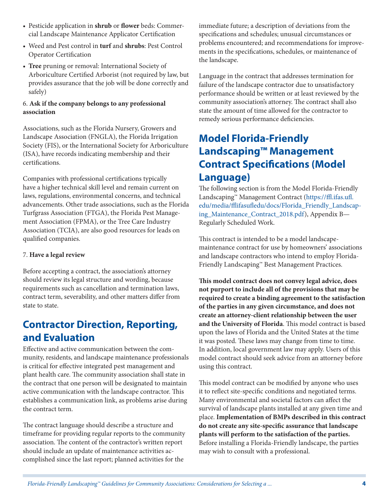- Pesticide application in **shrub** or **flower** beds: Commercial Landscape Maintenance Applicator Certification
- Weed and Pest control in **turf** and **shrubs**: Pest Control Operator Certification
- **Tree** pruning or removal: International Society of Arboriculture Certified Arborist (not required by law, but provides assurance that the job will be done correctly and safely)

#### 6. **Ask if the company belongs to any professional association**

Associations, such as the Florida Nursery, Growers and Landscape Association (FNGLA), the Florida Irrigation Society (FIS), or the International Society for Arboriculture (ISA), have records indicating membership and their certifications.

Companies with professional certifications typically have a higher technical skill level and remain current on laws, regulations, environmental concerns, and technical advancements. Other trade associations, such as the Florida Turfgrass Association (FTGA), the Florida Pest Management Association (FPMA), or the Tree Care Industry Association (TCIA), are also good resources for leads on qualified companies.

#### 7. **Have a legal review**

Before accepting a contract, the association's attorney should review its legal structure and wording, because requirements such as cancellation and termination laws, contract term, severability, and other matters differ from state to state.

# **Contractor Direction, Reporting, and Evaluation**

Effective and active communication between the community, residents, and landscape maintenance professionals is critical for effective integrated pest management and plant health care. The community association shall state in the contract that one person will be designated to maintain active communication with the landscape contractor. This establishes a communication link, as problems arise during the contract term.

The contract language should describe a structure and timeframe for providing regular reports to the community association. The content of the contractor's written report should include an update of maintenance activities accomplished since the last report; planned activities for the

immediate future; a description of deviations from the specifications and schedules; unusual circumstances or problems encountered; and recommendations for improvements in the specifications, schedules, or maintenance of the landscape.

Language in the contract that addresses termination for failure of the landscape contractor due to unsatisfactory performance should be written or at least reviewed by the community association's attorney. The contract shall also state the amount of time allowed for the contractor to remedy serious performance deficiencies.

# **Model Florida-Friendly Landscaping™ Management Contract Specifications (Model Language)**

The following section is from the Model Florida-Friendly Landscaping™ Management Contract [\(https://ffl.ifas.ufl.](https://ffl.ifas.ufl.edu/media/fflifasufledu/docs/Florida_Friendly_Landscaping_Maintenance_Contract_2018.pdf) [edu/media/fflifasufledu/docs/Florida\\_Friendly\\_Landscap](https://ffl.ifas.ufl.edu/media/fflifasufledu/docs/Florida_Friendly_Landscaping_Maintenance_Contract_2018.pdf)[ing\\_Maintenance\\_Contract\\_2018.pdf](https://ffl.ifas.ufl.edu/media/fflifasufledu/docs/Florida_Friendly_Landscaping_Maintenance_Contract_2018.pdf)), Appendix B— Regularly Scheduled Work.

This contract is intended to be a model landscapemaintenance contract for use by homeowners' associations and landscape contractors who intend to employ Florida-Friendly Landscaping™ Best Management Practices.

**This model contract does not convey legal advice, does not purport to include all of the provisions that may be required to create a binding agreement to the satisfaction of the parties in any given circumstance, and does not create an attorney-client relationship between the user and the University of Florida**. This model contract is based upon the laws of Florida and the United States at the time it was posted. These laws may change from time to time. In addition, local government law may apply. Users of this model contract should seek advice from an attorney before using this contract.

This model contract can be modified by anyone who uses it to reflect site-specific conditions and negotiated terms. Many environmental and societal factors can affect the survival of landscape plants installed at any given time and place. **Implementation of BMPs described in this contract do not create any site-specific assurance that landscape plants will perform to the satisfaction of the parties.** Before installing a Florida-Friendly landscape, the parties may wish to consult with a professional.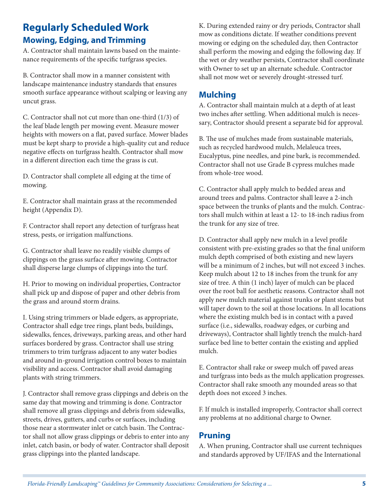### **Regularly Scheduled Work Mowing, Edging, and Trimming**

A. Contractor shall maintain lawns based on the maintenance requirements of the specific turfgrass species.

B. Contractor shall mow in a manner consistent with landscape maintenance industry standards that ensures smooth surface appearance without scalping or leaving any uncut grass.

C. Contractor shall not cut more than one-third (1/3) of the leaf blade length per mowing event. Measure mower heights with mowers on a flat, paved surface. Mower blades must be kept sharp to provide a high-quality cut and reduce negative effects on turfgrass health. Contractor shall mow in a different direction each time the grass is cut.

D. Contractor shall complete all edging at the time of mowing.

E. Contractor shall maintain grass at the recommended height (Appendix D).

F. Contractor shall report any detection of turfgrass heat stress, pests, or irrigation malfunctions.

G. Contractor shall leave no readily visible clumps of clippings on the grass surface after mowing. Contractor shall disperse large clumps of clippings into the turf.

H. Prior to mowing on individual properties, Contractor shall pick up and dispose of paper and other debris from the grass and around storm drains.

I. Using string trimmers or blade edgers, as appropriate, Contractor shall edge tree rings, plant beds, buildings, sidewalks, fences, driveways, parking areas, and other hard surfaces bordered by grass. Contractor shall use string trimmers to trim turfgrass adjacent to any water bodies and around in-ground irrigation control boxes to maintain visibility and access. Contractor shall avoid damaging plants with string trimmers.

J. Contractor shall remove grass clippings and debris on the same day that mowing and trimming is done. Contractor shall remove all grass clippings and debris from sidewalks, streets, drives, gutters, and curbs or surfaces, including those near a stormwater inlet or catch basin. The Contractor shall not allow grass clippings or debris to enter into any inlet, catch basin, or body of water. Contractor shall deposit grass clippings into the planted landscape.

K. During extended rainy or dry periods, Contractor shall mow as conditions dictate. If weather conditions prevent mowing or edging on the scheduled day, then Contractor shall perform the mowing and edging the following day. If the wet or dry weather persists, Contractor shall coordinate with Owner to set up an alternate schedule. Contractor shall not mow wet or severely drought-stressed turf.

### **Mulching**

A. Contractor shall maintain mulch at a depth of at least two inches after settling. When additional mulch is necessary, Contractor should present a separate bid for approval.

B. The use of mulches made from sustainable materials, such as recycled hardwood mulch, Melaleuca trees, Eucalyptus, pine needles, and pine bark, is recommended. Contractor shall not use Grade B cypress mulches made from whole-tree wood.

C. Contractor shall apply mulch to bedded areas and around trees and palms. Contractor shall leave a 2-inch space between the trunks of plants and the mulch. Contractors shall mulch within at least a 12- to 18-inch radius from the trunk for any size of tree.

D. Contractor shall apply new mulch in a level profile consistent with pre-existing grades so that the final uniform mulch depth comprised of both existing and new layers will be a minimum of 2 inches, but will not exceed 3 inches. Keep mulch about 12 to 18 inches from the trunk for any size of tree. A thin (1 inch) layer of mulch can be placed over the root ball for aesthetic reasons. Contractor shall not apply new mulch material against trunks or plant stems but will taper down to the soil at those locations. In all locations where the existing mulch bed is in contact with a paved surface (i.e., sidewalks, roadway edges, or curbing and driveways), Contractor shall lightly trench the mulch-hard surface bed line to better contain the existing and applied mulch.

E. Contractor shall rake or sweep mulch off paved areas and turfgrass into beds as the mulch application progresses. Contractor shall rake smooth any mounded areas so that depth does not exceed 3 inches.

F. If mulch is installed improperly, Contractor shall correct any problems at no additional charge to Owner.

### **Pruning**

A. When pruning, Contractor shall use current techniques and standards approved by UF/IFAS and the International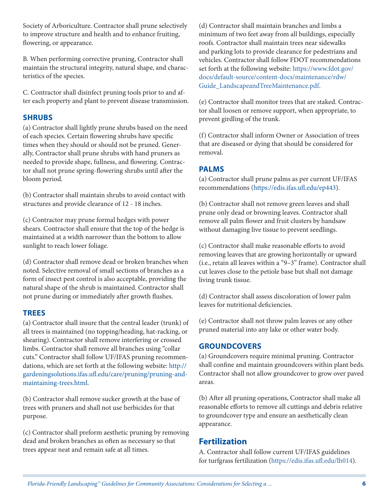Society of Arboriculture. Contractor shall prune selectively to improve structure and health and to enhance fruiting, flowering, or appearance.

B. When performing corrective pruning, Contractor shall maintain the structural integrity, natural shape, and characteristics of the species.

C. Contractor shall disinfect pruning tools prior to and after each property and plant to prevent disease transmission.

#### **SHRUBS**

(a) Contractor shall lightly prune shrubs based on the need of each species. Certain flowering shrubs have specific times when they should or should not be pruned. Generally, Contractor shall prune shrubs with hand pruners as needed to provide shape, fullness, and flowering. Contractor shall not prune spring-flowering shrubs until after the bloom period.

(b) Contractor shall maintain shrubs to avoid contact with structures and provide clearance of 12 - 18 inches.

(c) Contractor may prune formal hedges with power shears. Contractor shall ensure that the top of the hedge is maintained at a width narrower than the bottom to allow sunlight to reach lower foliage.

(d) Contractor shall remove dead or broken branches when noted. Selective removal of small sections of branches as a form of insect pest control is also acceptable, providing the natural shape of the shrub is maintained. Contractor shall not prune during or immediately after growth flushes.

#### **TREES**

(a) Contractor shall insure that the central leader (trunk) of all trees is maintained (no topping/heading, hat-racking, or shearing). Contractor shall remove interfering or crossed limbs. Contractor shall remove all branches using "collar cuts." Contractor shall follow UF/IFAS pruning recommendations, which are set forth at the following website: [http://](http://gardeningsolutions.ifas.ufl.edu/care/pruning/pruning-and-maintaining-trees.html) [gardeningsolutions.ifas.ufl.edu/care/pruning/pruning-and](http://gardeningsolutions.ifas.ufl.edu/care/pruning/pruning-and-maintaining-trees.html)[maintaining-trees.html.](http://gardeningsolutions.ifas.ufl.edu/care/pruning/pruning-and-maintaining-trees.html)

(b) Contractor shall remove sucker growth at the base of trees with pruners and shall not use herbicides for that purpose.

(c) Contractor shall preform aesthetic pruning by removing dead and broken branches as often as necessary so that trees appear neat and remain safe at all times.

(d) Contractor shall maintain branches and limbs a minimum of two feet away from all buildings, especially roofs. Contractor shall maintain trees near sidewalks and parking lots to provide clearance for pedestrians and vehicles. Contractor shall follow FDOT recommendations set forth at the following website: [https://www.fdot.gov/](https://www.fdot.gov/docs/default-source/content-docs/maintenance/rdw/Guide_LandscapeandTreeMaintenance.pdf) [docs/default-source/content-docs/maintenance/rdw/](https://www.fdot.gov/docs/default-source/content-docs/maintenance/rdw/Guide_LandscapeandTreeMaintenance.pdf) [Guide\\_LandscapeandTreeMaintenance.pdf](https://www.fdot.gov/docs/default-source/content-docs/maintenance/rdw/Guide_LandscapeandTreeMaintenance.pdf).

(e) Contractor shall monitor trees that are staked. Contractor shall loosen or remove support, when appropriate, to prevent girdling of the trunk.

(f) Contractor shall inform Owner or Association of trees that are diseased or dying that should be considered for removal.

### **PALMS**

(a) Contractor shall prune palms as per current UF/IFAS recommendations [\(https://edis.ifas.ufl.edu/ep443\)](https://edis.ifas.ufl.edu/ep443).

(b) Contractor shall not remove green leaves and shall prune only dead or browning leaves. Contractor shall remove all palm flower and fruit clusters by handsaw without damaging live tissue to prevent seedlings.

(c) Contractor shall make reasonable efforts to avoid removing leaves that are growing horizontally or upward (i.e., retain all leaves within a "9–3" frame). Contractor shall cut leaves close to the petiole base but shall not damage living trunk tissue.

(d) Contractor shall assess discoloration of lower palm leaves for nutritional deficiencies.

(e) Contractor shall not throw palm leaves or any other pruned material into any lake or other water body.

#### **GROUNDCOVERS**

(a) Groundcovers require minimal pruning. Contractor shall confine and maintain groundcovers within plant beds. Contractor shall not allow groundcover to grow over paved areas.

(b) After all pruning operations, Contractor shall make all reasonable efforts to remove all cuttings and debris relative to groundcover type and ensure an aesthetically clean appearance.

### **Fertilization**

A. Contractor shall follow current UF/IFAS guidelines for turfgrass fertilization [\(https://edis.ifas.ufl.edu/lh014\)](https://edis.ifas.ufl.edu/lh014).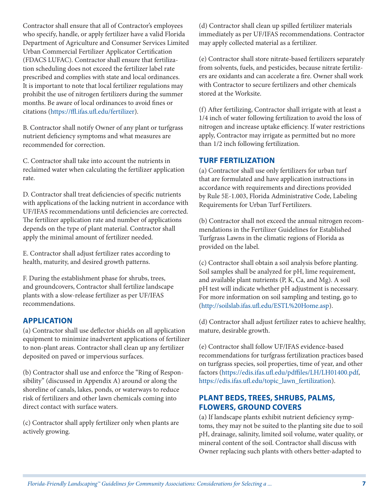Contractor shall ensure that all of Contractor's employees who specify, handle, or apply fertilizer have a valid Florida Department of Agriculture and Consumer Services Limited Urban Commercial Fertilizer Applicator Certification (FDACS LUFAC). Contractor shall ensure that fertilization scheduling does not exceed the fertilizer label rate prescribed and complies with state and local ordinances. It is important to note that local fertilizer regulations may prohibit the use of nitrogen fertilizers during the summer months. Be aware of local ordinances to avoid fines or citations ([https://ffl.ifas.ufl.edu/fertilizer\)](https://ffl.ifas.ufl.edu/fertilizer).

B. Contractor shall notify Owner of any plant or turfgrass nutrient deficiency symptoms and what measures are recommended for correction.

C. Contractor shall take into account the nutrients in reclaimed water when calculating the fertilizer application rate.

D. Contractor shall treat deficiencies of specific nutrients with applications of the lacking nutrient in accordance with UF/IFAS recommendations until deficiencies are corrected. The fertilizer application rate and number of applications depends on the type of plant material. Contractor shall apply the minimal amount of fertilizer needed.

E. Contractor shall adjust fertilizer rates according to health, maturity, and desired growth patterns.

F. During the establishment phase for shrubs, trees, and groundcovers, Contractor shall fertilize landscape plants with a slow-release fertilizer as per UF/IFAS recommendations.

#### **APPLICATION**

(a) Contractor shall use deflector shields on all application equipment to minimize inadvertent applications of fertilizer to non-plant areas. Contractor shall clean up any fertilizer deposited on paved or impervious surfaces.

(b) Contractor shall use and enforce the "Ring of Responsibility" (discussed in Appendix A) around or along the shoreline of canals, lakes, ponds, or waterways to reduce risk of fertilizers and other lawn chemicals coming into direct contact with surface waters.

(c) Contractor shall apply fertilizer only when plants are actively growing.

(d) Contractor shall clean up spilled fertilizer materials immediately as per UF/IFAS recommendations. Contractor may apply collected material as a fertilizer.

(e) Contractor shall store nitrate-based fertilizers separately from solvents, fuels, and pesticides, because nitrate fertilizers are oxidants and can accelerate a fire. Owner shall work with Contractor to secure fertilizers and other chemicals stored at the Worksite.

(f) After fertilizing, Contractor shall irrigate with at least a 1/4 inch of water following fertilization to avoid the loss of nitrogen and increase uptake efficiency. If water restrictions apply, Contractor may irrigate as permitted but no more than 1/2 inch following fertilization.

#### **TURF FERTILIZATION**

(a) Contractor shall use only fertilizers for urban turf that are formulated and have application instructions in accordance with requirements and directions provided by Rule 5E-1.003, Florida Administrative Code, Labeling Requirements for Urban Turf Fertilizers.

(b) Contractor shall not exceed the annual nitrogen recommendations in the Fertilizer Guidelines for Established Turfgrass Lawns in the climatic regions of Florida as provided on the label.

(c) Contractor shall obtain a soil analysis before planting. Soil samples shall be analyzed for pH, lime requirement, and available plant nutrients (P, K, Ca, and Mg). A soil pH test will indicate whether pH adjustment is necessary. For more information on soil sampling and testing, go to [\(http://soilslab.ifas.ufl.edu/ESTL%20Home.asp](http://soilslab.ifas.ufl.edu/ESTL%20Home.asp)).

(d) Contractor shall adjust fertilizer rates to achieve healthy, mature, desirable growth.

(e) Contractor shall follow UF/IFAS evidence-based recommendations for turfgrass fertilization practices based on turfgrass species, soil properties, time of year, and other factors [\(https://edis.ifas.ufl.edu/pdffiles/LH/LH01400.pdf](https://edis.ifas.ufl.edu/pdffiles/LH/LH01400.pdf), [https://edis.ifas.ufl.edu/topic\\_lawn\\_fertilization\)](https://edis.ifas.ufl.edu/topic_lawn_fertilization).

#### **PLANT BEDS, TREES, SHRUBS, PALMS, FLOWERS, GROUND COVERS**

(a) If landscape plants exhibit nutrient deficiency symptoms, they may not be suited to the planting site due to soil pH, drainage, salinity, limited soil volume, water quality, or mineral content of the soil. Contractor shall discuss with Owner replacing such plants with others better-adapted to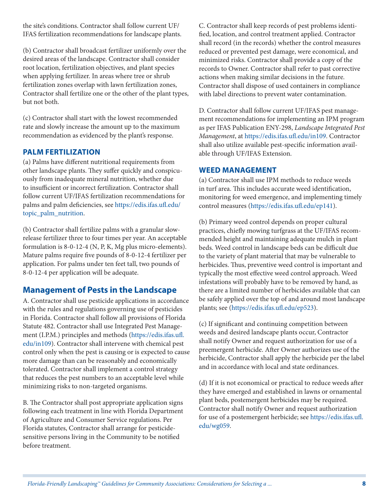the site's conditions. Contractor shall follow current UF/ IFAS fertilization recommendations for landscape plants.

(b) Contractor shall broadcast fertilizer uniformly over the desired areas of the landscape. Contractor shall consider root location, fertilization objectives, and plant species when applying fertilizer. In areas where tree or shrub fertilization zones overlap with lawn fertilization zones, Contractor shall fertilize one or the other of the plant types, but not both.

(c) Contractor shall start with the lowest recommended rate and slowly increase the amount up to the maximum recommendation as evidenced by the plant's response.

#### **PALM FERTILIZATION**

(a) Palms have different nutritional requirements from other landscape plants. They suffer quickly and conspicuously from inadequate mineral nutrition, whether due to insufficient or incorrect fertilization. Contractor shall follow current UF/IFAS fertilization recommendations for palms and palm deficiencies, see [https://edis.ifas.ufl.edu/](https://edis.ifas.ufl.edu/topic_palm_nutrition) [topic\\_palm\\_nutrition](https://edis.ifas.ufl.edu/topic_palm_nutrition).

(b) Contractor shall fertilize palms with a granular slowrelease fertilizer three to four times per year. An acceptable formulation is 8-0-12-4 (N, P, K, Mg plus micro-elements). Mature palms require five pounds of 8-0-12-4 fertilizer per application. For palms under ten feet tall, two pounds of 8-0-12-4 per application will be adequate.

### **Management of Pests in the Landscape**

A. Contractor shall use pesticide applications in accordance with the rules and regulations governing use of pesticides in Florida. Contractor shall follow all provisions of Florida Statute 482. Contractor shall use Integrated Pest Management (I.P.M.) principles and methods ([https://edis.ifas.ufl.](https://edis.ifas.ufl.edu/in109) [edu/in109\)](https://edis.ifas.ufl.edu/in109). Contractor shall intervene with chemical pest control only when the pest is causing or is expected to cause more damage than can be reasonably and economically tolerated. Contractor shall implement a control strategy that reduces the pest numbers to an acceptable level while minimizing risks to non-targeted organisms.

B. The Contractor shall post appropriate application signs following each treatment in line with Florida Department of Agriculture and Consumer Service regulations. Per Florida statutes, Contractor shall arrange for pesticidesensitive persons living in the Community to be notified before treatment.

C. Contractor shall keep records of pest problems identified, location, and control treatment applied. Contractor shall record (in the records) whether the control measures reduced or prevented pest damage, were economical, and minimized risks. Contractor shall provide a copy of the records to Owner. Contractor shall refer to past corrective actions when making similar decisions in the future. Contractor shall dispose of used containers in compliance with label directions to prevent water contamination.

D. Contractor shall follow current UF/IFAS pest management recommendations for implementing an IPM program as per IFAS Publication ENY-298, *Landscape Integrated Pest Management*, at<https://edis.ifas.ufl.edu/in109>. Contractor shall also utilize available pest-specific information available through UF/IFAS Extension.

#### **WEED MANAGEMENT**

(a) Contractor shall use IPM methods to reduce weeds in turf area. This includes accurate weed identification, monitoring for weed emergence, and implementing timely control measures (<https://edis.ifas.ufl.edu/ep141>).

(b) Primary weed control depends on proper cultural practices, chiefly mowing turfgrass at the UF/IFAS recommended height and maintaining adequate mulch in plant beds. Weed control in landscape beds can be difficult due to the variety of plant material that may be vulnerable to herbicides. Thus, preventive weed control is important and typically the most effective weed control approach. Weed infestations will probably have to be removed by hand, as there are a limited number of herbicides available that can be safely applied over the top of and around most landscape plants; see [\(https://edis.ifas.ufl.edu/ep523](https://edis.ifas.ufl.edu/ep523)).

(c) If significant and continuing competition between weeds and desired landscape plants occur, Contractor shall notify Owner and request authorization for use of a preemergent herbicide. After Owner authorizes use of the herbicide, Contractor shall apply the herbicide per the label and in accordance with local and state ordinances.

(d) If it is not economical or practical to reduce weeds after they have emerged and established in lawns or ornamental plant beds, postemergent herbicides may be required. Contractor shall notify Owner and request authorization for use of a postemergent herbicide; see [https://edis.ifas.ufl.](https://edis.ifas.ufl.edu/wg059) [edu/wg059.](https://edis.ifas.ufl.edu/wg059)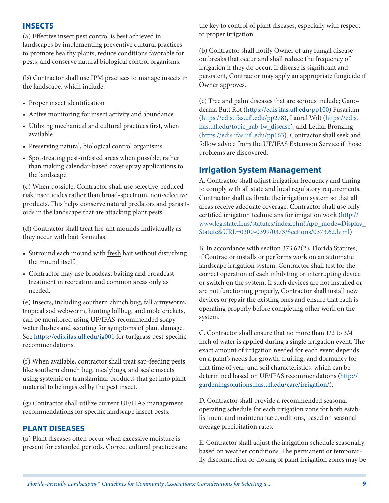#### **INSECTS**

(a) Effective insect pest control is best achieved in landscapes by implementing preventive cultural practices to promote healthy plants, reduce conditions favorable for pests, and conserve natural biological control organisms.

(b) Contractor shall use IPM practices to manage insects in the landscape, which include:

- Proper insect identification
- Active monitoring for insect activity and abundance
- Utilizing mechanical and cultural practices first, when available
- Preserving natural, biological control organisms
- Spot-treating pest-infested areas when possible, rather than making calendar-based cover spray applications to the landscape

(c) When possible, Contractor shall use selective, reducedrisk insecticides rather than broad-spectrum, non-selective products. This helps conserve natural predators and parasitoids in the landscape that are attacking plant pests.

(d) Contractor shall treat fire-ant mounds individually as they occur with bait formulas.

- Surround each mound with fresh bait without disturbing the mound itself.
- Contractor may use broadcast baiting and broadcast treatment in recreation and common areas only as needed.

(e) Insects, including southern chinch bug, fall armyworm, tropical sod webworm, hunting billbug, and mole crickets, can be monitored using UF/IFAS-recommended soapy water flushes and scouting for symptoms of plant damage. See<https://edis.ifas.ufl.edu/ig001>for turfgrass pest-specific recommendations.

(f) When available, contractor shall treat sap-feeding pests like southern chinch bug, mealybugs, and scale insects using systemic or translaminar products that get into plant material to be ingested by the pest insect.

(g) Contractor shall utilize current UF/IFAS management recommendations for specific landscape insect pests.

#### **PLANT DISEASES**

(a) Plant diseases often occur when excessive moisture is present for extended periods. Correct cultural practices are the key to control of plant diseases, especially with respect to proper irrigation.

(b) Contractor shall notify Owner of any fungal disease outbreaks that occur and shall reduce the frequency of irrigation if they do occur. If disease is significant and persistent, Contractor may apply an appropriate fungicide if Owner approves.

(c) Tree and palm diseases that are serious include; Ganoderma Butt Rot [\(https://edis.ifas.ufl.edu/pp100\)](https://edis.ifas.ufl.edu/pp100) Fusarium [\(https://edis.ifas.ufl.edu/pp278\)](https://edis.ifas.ufl.edu/pp278), Laurel Wilt [\(https://edis.](https://edis.ifas.ufl.edu/topic_rab-lw_disease) [ifas.ufl.edu/topic\\_rab-lw\\_disease\)](https://edis.ifas.ufl.edu/topic_rab-lw_disease), and Lethal Bronzing [\(https://edis.ifas.ufl.edu/pp163\)](https://edis.ifas.ufl.edu/pp163). Contractor shall seek and follow advice from the UF/IFAS Extension Service if those problems are discovered.

### **Irrigation System Management**

A. Contractor shall adjust irrigation frequency and timing to comply with all state and local regulatory requirements. Contractor shall calibrate the irrigation system so that all areas receive adequate coverage. Contractor shall use only certified irrigation technicians for irrigation work ([http://](http://www.leg.state.fl.us/statutes/index.cfm?App_mode=Display_Statute&URL=0300-0399/0373/Sections/0373.62.html) [www.leg.state.fl.us/statutes/index.cfm?App\\_mode=Display\\_](http://www.leg.state.fl.us/statutes/index.cfm?App_mode=Display_Statute&URL=0300-0399/0373/Sections/0373.62.html) [Statute&URL=0300-0399/0373/Sections/0373.62.html\)](http://www.leg.state.fl.us/statutes/index.cfm?App_mode=Display_Statute&URL=0300-0399/0373/Sections/0373.62.html)

B. In accordance with section 373.62(2), Florida Statutes, if Contractor installs or performs work on an automatic landscape irrigation system, Contractor shall test for the correct operation of each inhibiting or interrupting device or switch on the system. If such devices are not installed or are not functioning properly, Contractor shall install new devices or repair the existing ones and ensure that each is operating properly before completing other work on the system.

C. Contractor shall ensure that no more than 1/2 to 3/4 inch of water is applied during a single irrigation event. The exact amount of irrigation needed for each event depends on a plant's needs for growth, fruiting, and dormancy for that time of year, and soil characteristics, which can be determined based on UF/IFAS recommendations ([http://](http://gardeningsolutions.ifas.ufl.edu/care/irrigation/) [gardeningsolutions.ifas.ufl.edu/care/irrigation/\)](http://gardeningsolutions.ifas.ufl.edu/care/irrigation/).

D. Contractor shall provide a recommended seasonal operating schedule for each irrigation zone for both establishment and maintenance conditions, based on seasonal average precipitation rates.

E. Contractor shall adjust the irrigation schedule seasonally, based on weather conditions. The permanent or temporarily disconnection or closing of plant irrigation zones may be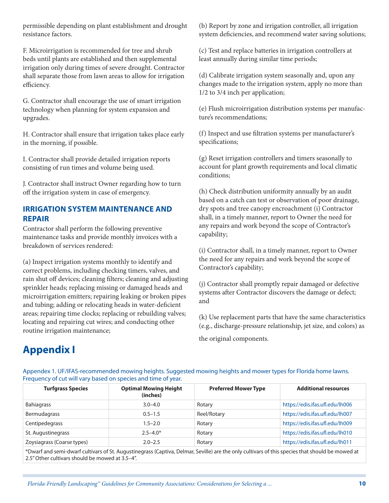permissible depending on plant establishment and drought resistance factors.

F. Microirrigation is recommended for tree and shrub beds until plants are established and then supplemental irrigation only during times of severe drought. Contractor shall separate those from lawn areas to allow for irrigation efficiency.

G. Contractor shall encourage the use of smart irrigation technology when planning for system expansion and upgrades.

H. Contractor shall ensure that irrigation takes place early in the morning, if possible.

I. Contractor shall provide detailed irrigation reports consisting of run times and volume being used.

J. Contractor shall instruct Owner regarding how to turn off the irrigation system in case of emergency.

### **IRRIGATION SYSTEM MAINTENANCE AND REPAIR**

Contractor shall perform the following preventive maintenance tasks and provide monthly invoices with a breakdown of services rendered:

(a) Inspect irrigation systems monthly to identify and correct problems, including checking timers, valves, and rain shut off devices; cleaning filters; cleaning and adjusting sprinkler heads; replacing missing or damaged heads and microirrigation emitters; repairing leaking or broken pipes and tubing; adding or relocating heads in water-deficient areas; repairing time clocks; replacing or rebuilding valves; locating and repairing cut wires; and conducting other routine irrigation maintenance;

(b) Report by zone and irrigation controller, all irrigation system deficiencies, and recommend water saving solutions;

(c) Test and replace batteries in irrigation controllers at least annually during similar time periods;

(d) Calibrate irrigation system seasonally and, upon any changes made to the irrigation system, apply no more than 1/2 to 3/4 inch per application;

(e) Flush microirrigation distribution systems per manufacture's recommendations;

(f) Inspect and use filtration systems per manufacturer's specifications;

(g) Reset irrigation controllers and timers seasonally to account for plant growth requirements and local climatic conditions;

(h) Check distribution uniformity annually by an audit based on a catch can test or observation of poor drainage, dry spots and tree canopy encroachment (i) Contractor shall, in a timely manner, report to Owner the need for any repairs and work beyond the scope of Contractor's capability;

(i) Contractor shall, in a timely manner, report to Owner the need for any repairs and work beyond the scope of Contractor's capability;

(j) Contractor shall promptly repair damaged or defective systems after Contractor discovers the damage or defect; and

(k) Use replacement parts that have the same characteristics (e.g., discharge-pressure relationship, jet size, and colors) as

the original components.

# **Appendix I**

Appendex 1. UF/IFAS-recommended mowing heights. Suggested mowing heights and mower types for Florida home lawns. Frequency of cut will vary based on species and time of year.

| <b>Turfgrass Species</b>   | <b>Optimal Mowing Height</b><br>(inches) | <b>Preferred Mower Type</b> | <b>Additional resources</b>     |
|----------------------------|------------------------------------------|-----------------------------|---------------------------------|
| <b>Bahiagrass</b>          | $3.0 - 4.0$                              | Rotary                      | https://edis.ifas.ufl.edu/lh006 |
| Bermudagrass               | $0.5 - 1.5$                              | Reel/Rotary                 | https://edis.ifas.ufl.edu/lh007 |
| Centipedegrass             | $1.5 - 2.0$                              | Rotary                      | https://edis.ifas.ufl.edu/lh009 |
| St. Augustinegrass         | $2.5 - 4.0*$                             | Rotary                      | https://edis.ifas.ufl.edu/lh010 |
| Zoysiagrass (Coarse types) | $2.0 - 2.5$                              | Rotary                      | https://edis.ifas.ufl.edu/lh011 |

\*Dwarf and semi-dwarf cultivars of St. Augustinegrass (Captiva, Delmar, Seville) are the only cultivars of this species that should be mowed at 2.5" Other cultivars should be mowed at 3.5–4".